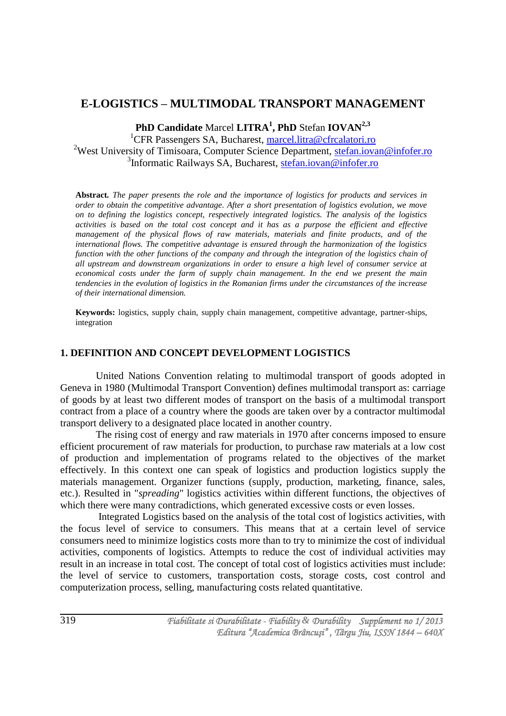# **E-LOGISTICS – MULTIMODAL TRANSPORT MANAGEMENT**

**PhD Candidate** Marcel **LITRA<sup>1</sup> , PhD** Stefan **IOVAN2,3**

<sup>1</sup>CFR Passengers SA, Bucharest, [marcel.litra@cfrcalatori.ro](mailto:marcel.litra@cfrcalatori.ro) <sup>2</sup>West University of Timisoara, Computer Science Department, [stefan.iovan@infofer.ro](mailto:stefan.iovan@infofer.ro) <sup>3</sup>Informatic Railways SA, Bucharest, [stefan.iovan@infofer.ro](mailto:stefan.iovan@infofer.ro)

**Abstract***. The paper presents the role and the importance of logistics for products and services in order to obtain the competitive advantage. After a short presentation of logistics evolution, we move on to defining the logistics concept, respectively integrated logistics. The analysis of the logistics activities is based on the total cost concept and it has as a purpose the efficient and effective management of the physical flows of raw materials, materials and finite products, and of the international flows. The competitive advantage is ensured through the harmonization of the logistics function with the other functions of the company and through the integration of the logistics chain of all upstream and downstream organizations in order to ensure a high level of consumer service at economical costs under the farm of supply chain management. In the end we present the main tendencies in the evolution of logistics in the Romanian firms under the circumstances of the increase of their international dimension.*

**Keywords:** logistics, supply chain, supply chain management, competitive advantage, partner-ships, integration

## **1. DEFINITION AND CONCEPT DEVELOPMENT LOGISTICS**

United Nations Convention relating to multimodal transport of goods adopted in Geneva in 1980 (Multimodal Transport Convention) defines multimodal transport as: carriage of goods by at least two different modes of transport on the basis of a multimodal transport contract from a place of a country where the goods are taken over by a contractor multimodal transport delivery to a designated place located in another country.

The rising cost of energy and raw materials in 1970 after concerns imposed to ensure efficient procurement of raw materials for production, to purchase raw materials at a low cost of production and implementation of programs related to the objectives of the market effectively. In this context one can speak of logistics and production logistics supply the materials management. Organizer functions (supply, production, marketing, finance, sales, etc.). Resulted in "*spreading*" logistics activities within different functions, the objectives of which there were many contradictions, which generated excessive costs or even losses.

Integrated Logistics based on the analysis of the total cost of logistics activities, with the focus level of service to consumers. This means that at a certain level of service consumers need to minimize logistics costs more than to try to minimize the cost of individual activities, components of logistics. Attempts to reduce the cost of individual activities may result in an increase in total cost. The concept of total cost of logistics activities must include: the level of service to customers, transportation costs, storage costs, cost control and computerization process, selling, manufacturing costs related quantitative.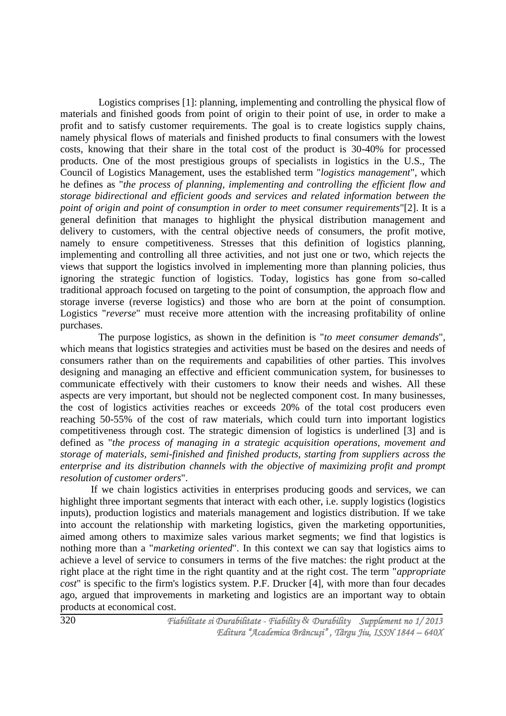Logistics comprises [1]: planning, implementing and controlling the physical flow of materials and finished goods from point of origin to their point of use, in order to make a profit and to satisfy customer requirements. The goal is to create logistics supply chains, namely physical flows of materials and finished products to final consumers with the lowest costs, knowing that their share in the total cost of the product is 30-40% for processed products. One of the most prestigious groups of specialists in logistics in the U.S., The Council of Logistics Management, uses the established term "*logistics management*", which he defines as "*the process of planning, implementing and controlling the efficient flow and storage bidirectional and efficient goods and services and related information between the point of origin and point of consumption in order to meet consumer requirements*"[2]. It is a general definition that manages to highlight the physical distribution management and delivery to customers, with the central objective needs of consumers, the profit motive, namely to ensure competitiveness. Stresses that this definition of logistics planning, implementing and controlling all three activities, and not just one or two, which rejects the views that support the logistics involved in implementing more than planning policies, thus ignoring the strategic function of logistics. Today, logistics has gone from so-called traditional approach focused on targeting to the point of consumption, the approach flow and storage inverse (reverse logistics) and those who are born at the point of consumption. Logistics "*reverse*" must receive more attention with the increasing profitability of online purchases.

The purpose logistics, as shown in the definition is "*to meet consumer demands*", which means that logistics strategies and activities must be based on the desires and needs of consumers rather than on the requirements and capabilities of other parties. This involves designing and managing an effective and efficient communication system, for businesses to communicate effectively with their customers to know their needs and wishes. All these aspects are very important, but should not be neglected component cost. In many businesses, the cost of logistics activities reaches or exceeds 20% of the total cost producers even reaching 50-55% of the cost of raw materials, which could turn into important logistics competitiveness through cost. The strategic dimension of logistics is underlined [3] and is defined as "*the process of managing in a strategic acquisition operations, movement and storage of materials, semi-finished and finished products, starting from suppliers across the enterprise and its distribution channels with the objective of maximizing profit and prompt resolution of customer orders*".

If we chain logistics activities in enterprises producing goods and services, we can highlight three important segments that interact with each other, i.e. supply logistics (logistics inputs), production logistics and materials management and logistics distribution. If we take into account the relationship with marketing logistics, given the marketing opportunities, aimed among others to maximize sales various market segments; we find that logistics is nothing more than a "*marketing oriented*". In this context we can say that logistics aims to achieve a level of service to consumers in terms of the five matches: the right product at the right place at the right time in the right quantity and at the right cost. The term "*appropriate cost*" is specific to the firm's logistics system. P.F. Drucker [4], with more than four decades ago, argued that improvements in marketing and logistics are an important way to obtain products at economical cost.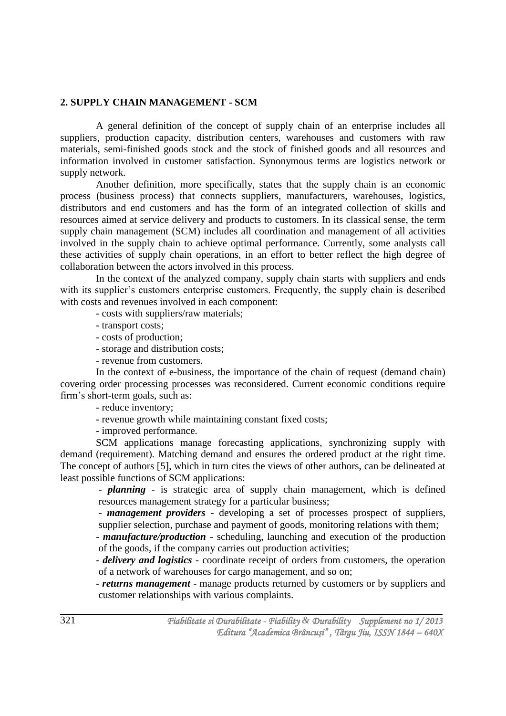## **2. SUPPLY CHAIN MANAGEMENT - SCM**

A general definition of the concept of supply chain of an enterprise includes all suppliers, production capacity, distribution centers, warehouses and customers with raw materials, semi-finished goods stock and the stock of finished goods and all resources and information involved in customer satisfaction. Synonymous terms are logistics network or supply network.

Another definition, more specifically, states that the supply chain is an economic process (business process) that connects suppliers, manufacturers, warehouses, logistics, distributors and end customers and has the form of an integrated collection of skills and resources aimed at service delivery and products to customers. In its classical sense, the term supply chain management (SCM) includes all coordination and management of all activities involved in the supply chain to achieve optimal performance. Currently, some analysts call these activities of supply chain operations, in an effort to better reflect the high degree of collaboration between the actors involved in this process.

In the context of the analyzed company, supply chain starts with suppliers and ends with its supplier's customers enterprise customers. Frequently, the supply chain is described with costs and revenues involved in each component:

- costs with suppliers/raw materials;

- transport costs;
- costs of production;
- storage and distribution costs;
- revenue from customers.

In the context of e-business, the importance of the chain of request (demand chain) covering order processing processes was reconsidered. Current economic conditions require firm's short-term goals, such as:

- reduce inventory;

- revenue growth while maintaining constant fixed costs;

- improved performance.

SCM applications manage forecasting applications, synchronizing supply with demand (requirement). Matching demand and ensures the ordered product at the right time. The concept of authors [5], which in turn cites the views of other authors, can be delineated at least possible functions of SCM applications:

- *planning* - is strategic area of supply chain management, which is defined resources management strategy for a particular business;

- *management providers* - developing a set of processes prospect of suppliers, supplier selection, purchase and payment of goods, monitoring relations with them;

- *manufacture/production* - scheduling, launching and execution of the production of the goods, if the company carries out production activities;

- *delivery and logistics* - coordinate receipt of orders from customers, the operation of a network of warehouses for cargo management, and so on;

- *returns management* - manage products returned by customers or by suppliers and customer relationships with various complaints.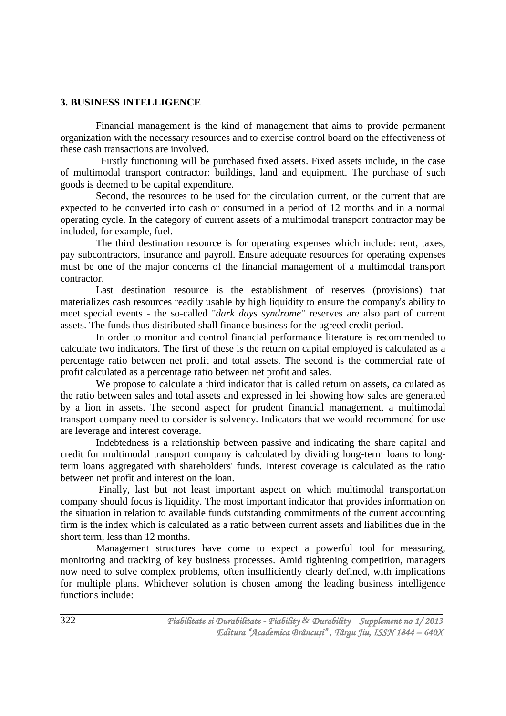## **3. BUSINESS INTELLIGENCE**

Financial management is the kind of management that aims to provide permanent organization with the necessary resources and to exercise control board on the effectiveness of these cash transactions are involved.

Firstly functioning will be purchased fixed assets. Fixed assets include, in the case of multimodal transport contractor: buildings, land and equipment. The purchase of such goods is deemed to be capital expenditure.

Second, the resources to be used for the circulation current, or the current that are expected to be converted into cash or consumed in a period of 12 months and in a normal operating cycle. In the category of current assets of a multimodal transport contractor may be included, for example, fuel.

The third destination resource is for operating expenses which include: rent, taxes, pay subcontractors, insurance and payroll. Ensure adequate resources for operating expenses must be one of the major concerns of the financial management of a multimodal transport contractor.

Last destination resource is the establishment of reserves (provisions) that materializes cash resources readily usable by high liquidity to ensure the company's ability to meet special events - the so-called "*dark days syndrome*" reserves are also part of current assets. The funds thus distributed shall finance business for the agreed credit period.

In order to monitor and control financial performance literature is recommended to calculate two indicators. The first of these is the return on capital employed is calculated as a percentage ratio between net profit and total assets. The second is the commercial rate of profit calculated as a percentage ratio between net profit and sales.

We propose to calculate a third indicator that is called return on assets, calculated as the ratio between sales and total assets and expressed in lei showing how sales are generated by a lion in assets. The second aspect for prudent financial management, a multimodal transport company need to consider is solvency. Indicators that we would recommend for use are leverage and interest coverage.

Indebtedness is a relationship between passive and indicating the share capital and credit for multimodal transport company is calculated by dividing long-term loans to longterm loans aggregated with shareholders' funds. Interest coverage is calculated as the ratio between net profit and interest on the loan.

Finally, last but not least important aspect on which multimodal transportation company should focus is liquidity. The most important indicator that provides information on the situation in relation to available funds outstanding commitments of the current accounting firm is the index which is calculated as a ratio between current assets and liabilities due in the short term, less than 12 months.

Management structures have come to expect a powerful tool for measuring, monitoring and tracking of key business processes. Amid tightening competition, managers now need to solve complex problems, often insufficiently clearly defined, with implications for multiple plans. Whichever solution is chosen among the leading business intelligence functions include: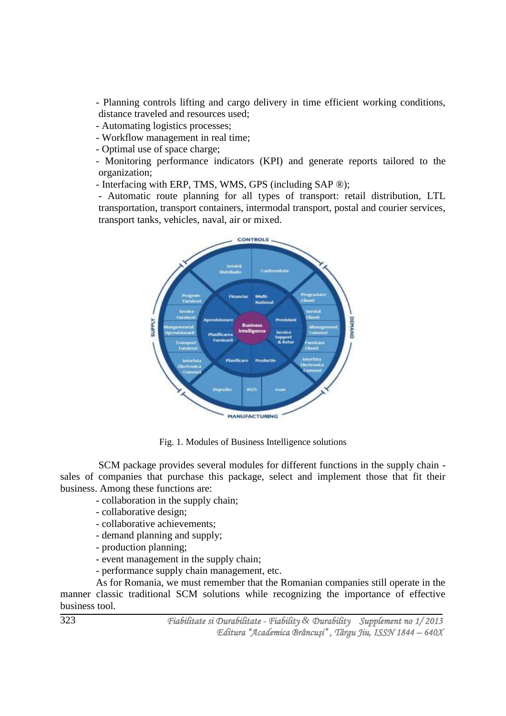- Planning controls lifting and cargo delivery in time efficient working conditions, distance traveled and resources used;

- Automating logistics processes;

- Workflow management in real time;

- Optimal use of space charge;

- Monitoring performance indicators (KPI) and generate reports tailored to the organization;

- Interfacing with ERP, TMS, WMS, GPS (including SAP ®);

- Automatic route planning for all types of transport: retail distribution, LTL transportation, transport containers, intermodal transport, postal and courier services, transport tanks, vehicles, naval, air or mixed.



Fig. 1. Modules of Business Intelligence solutions

SCM package provides several modules for different functions in the supply chain sales of companies that purchase this package, select and implement those that fit their business. Among these functions are:

- collaboration in the supply chain;
- collaborative design;
- collaborative achievements;
- demand planning and supply;
- production planning;
- event management in the supply chain;
- performance supply chain management, etc.

As for Romania, we must remember that the Romanian companies still operate in the manner classic traditional SCM solutions while recognizing the importance of effective business tool.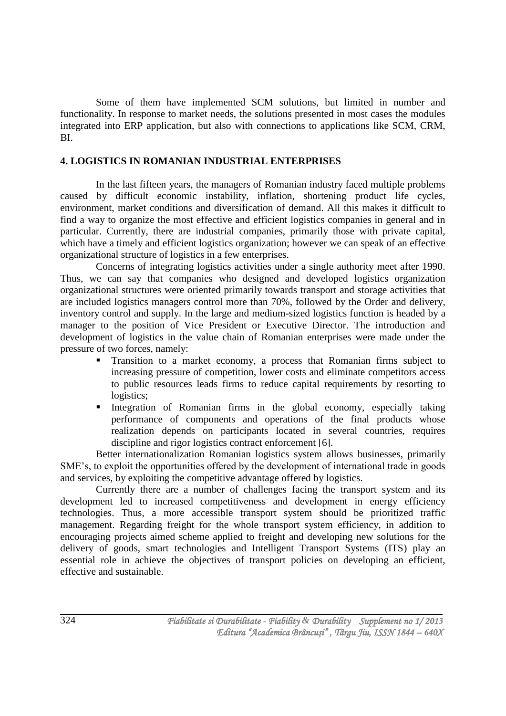Some of them have implemented SCM solutions, but limited in number and functionality. In response to market needs, the solutions presented in most cases the modules integrated into ERP application, but also with connections to applications like SCM, CRM, BI.

## **4. LOGISTICS IN ROMANIAN INDUSTRIAL ENTERPRISES**

In the last fifteen years, the managers of Romanian industry faced multiple problems caused by difficult economic instability, inflation, shortening product life cycles, environment, market conditions and diversification of demand. All this makes it difficult to find a way to organize the most effective and efficient logistics companies in general and in particular. Currently, there are industrial companies, primarily those with private capital, which have a timely and efficient logistics organization; however we can speak of an effective organizational structure of logistics in a few enterprises.

Concerns of integrating logistics activities under a single authority meet after 1990. Thus, we can say that companies who designed and developed logistics organization organizational structures were oriented primarily towards transport and storage activities that are included logistics managers control more than 70%, followed by the Order and delivery, inventory control and supply. In the large and medium-sized logistics function is headed by a manager to the position of Vice President or Executive Director. The introduction and development of logistics in the value chain of Romanian enterprises were made under the pressure of two forces, namely:

- Transition to a market economy, a process that Romanian firms subject to increasing pressure of competition, lower costs and eliminate competitors access to public resources leads firms to reduce capital requirements by resorting to logistics;
- Integration of Romanian firms in the global economy, especially taking performance of components and operations of the final products whose realization depends on participants located in several countries, requires discipline and rigor logistics contract enforcement [6].

Better internationalization Romanian logistics system allows businesses, primarily SME's, to exploit the opportunities offered by the development of international trade in goods and services, by exploiting the competitive advantage offered by logistics.

Currently there are a number of challenges facing the transport system and its development led to increased competitiveness and development in energy efficiency technologies. Thus, a more accessible transport system should be prioritized traffic management. Regarding freight for the whole transport system efficiency, in addition to encouraging projects aimed scheme applied to freight and developing new solutions for the delivery of goods, smart technologies and Intelligent Transport Systems (ITS) play an essential role in achieve the objectives of transport policies on developing an efficient, effective and sustainable.